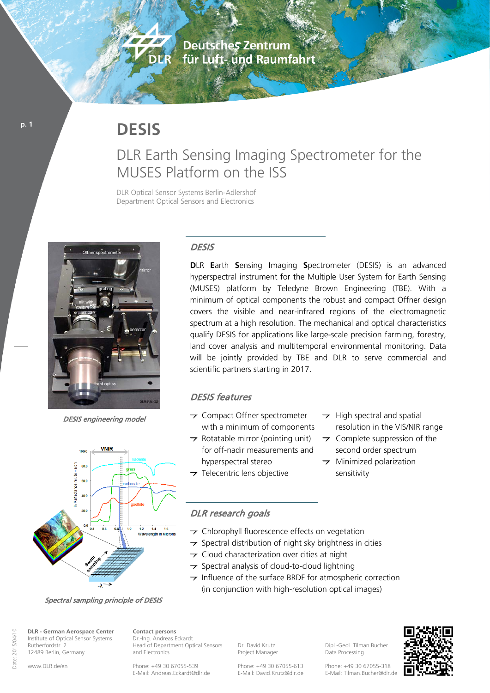**Deutsches Zentrum** für Luft- und Raumfahrt

# **DESIS**

**ANTICOLOGY** 

DIAR

## DLR Earth Sensing Imaging Spectrometer for the MUSES Platform on the ISS

DLR Optical Sensor Systems Berlin-Adlershof Department Optical Sensors and Electronics



DESIS engineering model



Spectral sampling principle of DESIS

**DLR - German Aerospace Center** Institute of Optical Sensor Systems Rutherfordstr. 2 12489 Berlin, Germany

**Contact persons** Dr.-Ing. Andreas Eckardt Head of Department Optical Sensors and Electronics

Phone: +49 30 67055-539 E-Mail: Andreas.Eckardt@dlr.de Dr. David Krutz Project Manager

Dipl.-Geol. Tilman Bucher Data Processing

Phone: +49 30 67055-613 E-Mail: David.Krutz@dlr.de Phone: +49 30 67055-318 E-Mail: Tilman.Bucher@dlr.de

resolution in the VIS/NIR range  $\rightarrow$  Complete suppression of the second order spectrum

> $\rightarrow$  Minimized polarization sensitivity

 $\rightarrow$  High spectral and spatial

### **DESIS**

**D**LR **E**arth **S**ensing **I**maging **S**pectrometer (DESIS) is an advanced hyperspectral instrument for the Multiple User System for Earth Sensing (MUSES) platform by Teledyne Brown Engineering (TBE). With a minimum of optical components the robust and compact Offner design covers the visible and near-infrared regions of the electromagnetic spectrum at a high resolution. The mechanical and optical characteristics qualify DESIS for applications like large-scale precision farming, forestry, land cover analysis and multitemporal environmental monitoring. Data will be jointly provided by TBE and DLR to serve commercial and scientific partners starting in 2017.

#### DESIS features

- $\rightarrow$  Compact Offner spectrometer with a minimum of components
- $\rightarrow$  Rotatable mirror (pointing unit) for off-nadir measurements and hyperspectral stereo
- $\rightarrow$  Telecentric lens objective

#### DLR research goals

- T Chlorophyll fluorescence effects on vegetation
- $\rightarrow$  Spectral distribution of night sky brightness in cities
- $\rightarrow$  Cloud characterization over cities at night
- $\rightarrow$  Spectral analysis of cloud-to-cloud lightning
- $\rightarrow$  Influence of the surface BRDF for atmospheric correction (in conjunction with high-resolution optical images)

2015/04/10 Date: 2015/04/10 Date:

**p. 1**

www.DLR.de/en